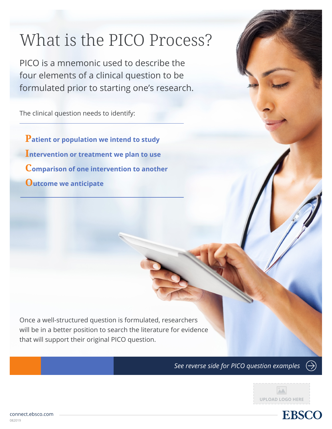## What is the PICO Process?

PICO is a mnemonic used to describe the four elements of a clinical question to be formulated prior to starting one's research.

The clinical question needs to identify:

**Patient or population we intend to study Intervention or treatment we plan to use Comparison of one intervention to another Outcome we anticipate**

Once a well-structured question is formulated, researchers will be in a better position to search the literature for evidence that will support their original PICO question.

*See reverse side for PICO question examples*





 $\leftrightarrow$